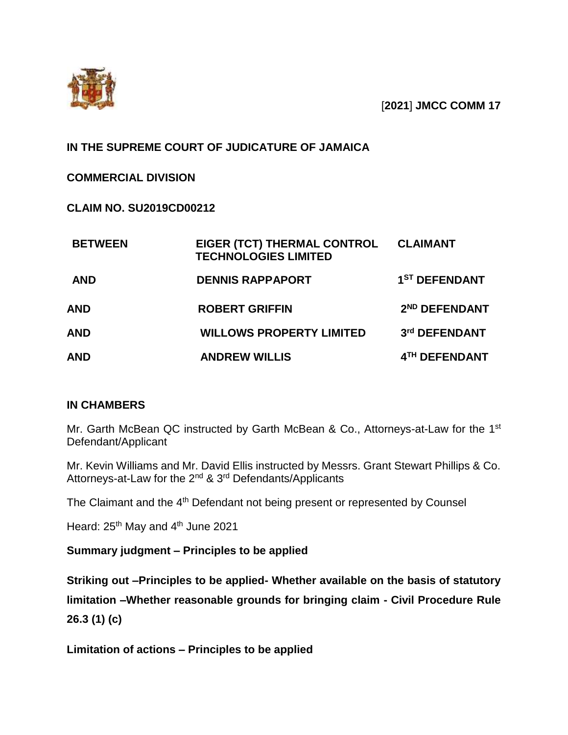

[**2021**] **JMCC COMM 17**

# **IN THE SUPREME COURT OF JUDICATURE OF JAMAICA**

# **COMMERCIAL DIVISION**

# **CLAIM NO. SU2019CD00212**

| <b>BETWEEN</b> | <b>EIGER (TCT) THERMAL CONTROL</b><br><b>TECHNOLOGIES LIMITED</b> | <b>CLAIMANT</b>           |
|----------------|-------------------------------------------------------------------|---------------------------|
| <b>AND</b>     | <b>DENNIS RAPPAPORT</b>                                           | 1 <sup>ST</sup> DEFENDANT |
| AND            | <b>ROBERT GRIFFIN</b>                                             | 2 <sup>ND</sup> DEFENDANT |
| AND            | <b>WILLOWS PROPERTY LIMITED</b>                                   | 3rd DEFENDANT             |
| AND            | <b>ANDREW WILLIS</b>                                              | 4TH DEFENDANT             |

# **IN CHAMBERS**

Mr. Garth McBean QC instructed by Garth McBean & Co., Attorneys-at-Law for the 1<sup>st</sup> Defendant/Applicant

Mr. Kevin Williams and Mr. David Ellis instructed by Messrs. Grant Stewart Phillips & Co. Attorneys-at-Law for the 2nd & 3rd Defendants/Applicants

The Claimant and the 4<sup>th</sup> Defendant not being present or represented by Counsel

Heard: 25<sup>th</sup> May and 4<sup>th</sup> June 2021

**Summary judgment – Principles to be applied** 

**Striking out –Principles to be applied- Whether available on the basis of statutory limitation –Whether reasonable grounds for bringing claim - Civil Procedure Rule 26.3 (1) (c)**

**Limitation of actions – Principles to be applied**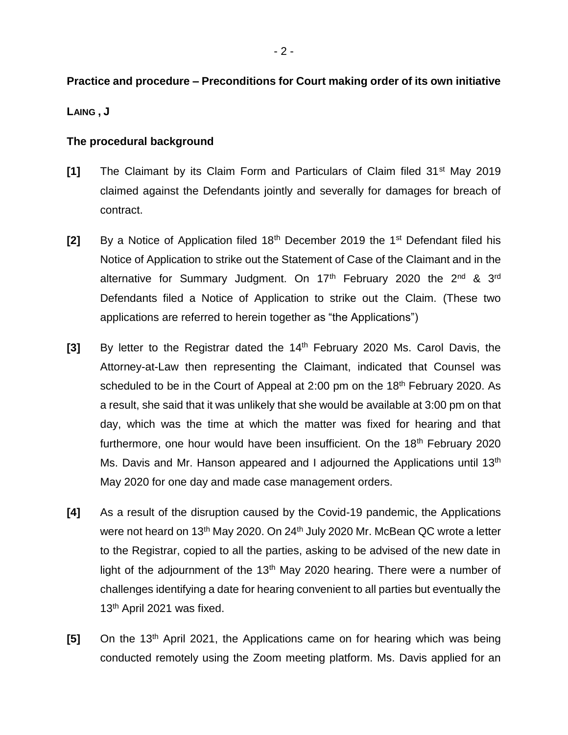**LAING , J**

## **The procedural background**

- **[1]** The Claimant by its Claim Form and Particulars of Claim filed 31<sup>st</sup> May 2019 claimed against the Defendants jointly and severally for damages for breach of contract.
- **[2]** By a Notice of Application filed 18<sup>th</sup> December 2019 the 1<sup>st</sup> Defendant filed his Notice of Application to strike out the Statement of Case of the Claimant and in the alternative for Summary Judgment. On 17<sup>th</sup> February 2020 the 2<sup>nd</sup> & 3<sup>rd</sup> Defendants filed a Notice of Application to strike out the Claim. (These two applications are referred to herein together as "the Applications")
- **[3]** By letter to the Registrar dated the 14<sup>th</sup> February 2020 Ms. Carol Davis, the Attorney-at-Law then representing the Claimant, indicated that Counsel was scheduled to be in the Court of Appeal at 2:00 pm on the 18<sup>th</sup> February 2020. As a result, she said that it was unlikely that she would be available at 3:00 pm on that day, which was the time at which the matter was fixed for hearing and that furthermore, one hour would have been insufficient. On the 18<sup>th</sup> February 2020 Ms. Davis and Mr. Hanson appeared and I adjourned the Applications until 13<sup>th</sup> May 2020 for one day and made case management orders.
- **[4]** As a result of the disruption caused by the Covid-19 pandemic, the Applications were not heard on 13<sup>th</sup> May 2020. On 24<sup>th</sup> July 2020 Mr. McBean QC wrote a letter to the Registrar, copied to all the parties, asking to be advised of the new date in light of the adjournment of the  $13<sup>th</sup>$  May 2020 hearing. There were a number of challenges identifying a date for hearing convenient to all parties but eventually the 13<sup>th</sup> April 2021 was fixed.
- **[5]** On the 13<sup>th</sup> April 2021, the Applications came on for hearing which was being conducted remotely using the Zoom meeting platform. Ms. Davis applied for an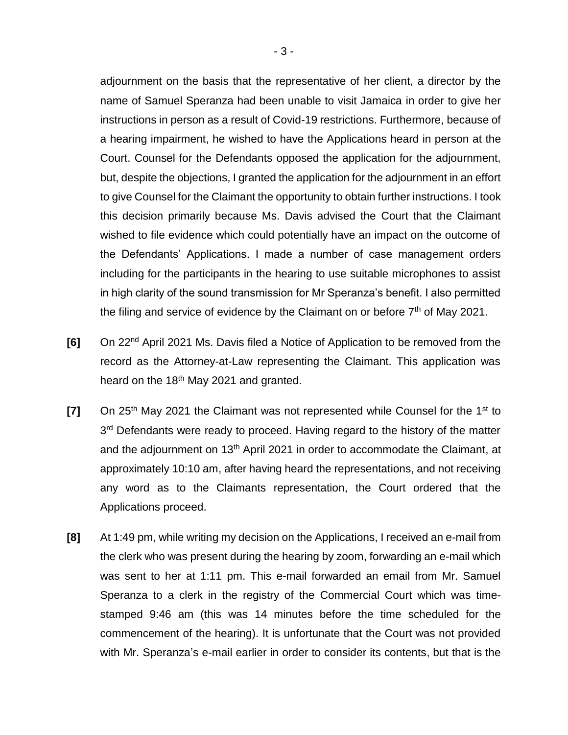adjournment on the basis that the representative of her client, a director by the name of Samuel Speranza had been unable to visit Jamaica in order to give her instructions in person as a result of Covid-19 restrictions. Furthermore, because of a hearing impairment, he wished to have the Applications heard in person at the Court. Counsel for the Defendants opposed the application for the adjournment, but, despite the objections, I granted the application for the adjournment in an effort to give Counsel for the Claimant the opportunity to obtain further instructions. I took this decision primarily because Ms. Davis advised the Court that the Claimant wished to file evidence which could potentially have an impact on the outcome of the Defendants' Applications. I made a number of case management orders including for the participants in the hearing to use suitable microphones to assist in high clarity of the sound transmission for Mr Speranza's benefit. I also permitted the filing and service of evidence by the Claimant on or before 7<sup>th</sup> of May 2021.

- **[6]** On 22<sup>nd</sup> April 2021 Ms. Davis filed a Notice of Application to be removed from the record as the Attorney-at-Law representing the Claimant. This application was heard on the 18<sup>th</sup> May 2021 and granted.
- **[7]** On 25<sup>th</sup> May 2021 the Claimant was not represented while Counsel for the 1<sup>st</sup> to 3<sup>rd</sup> Defendants were ready to proceed. Having regard to the history of the matter and the adjournment on 13<sup>th</sup> April 2021 in order to accommodate the Claimant, at approximately 10:10 am, after having heard the representations, and not receiving any word as to the Claimants representation, the Court ordered that the Applications proceed.
- **[8]** At 1:49 pm, while writing my decision on the Applications, I received an e-mail from the clerk who was present during the hearing by zoom, forwarding an e-mail which was sent to her at 1:11 pm. This e-mail forwarded an email from Mr. Samuel Speranza to a clerk in the registry of the Commercial Court which was timestamped 9:46 am (this was 14 minutes before the time scheduled for the commencement of the hearing). It is unfortunate that the Court was not provided with Mr. Speranza's e-mail earlier in order to consider its contents, but that is the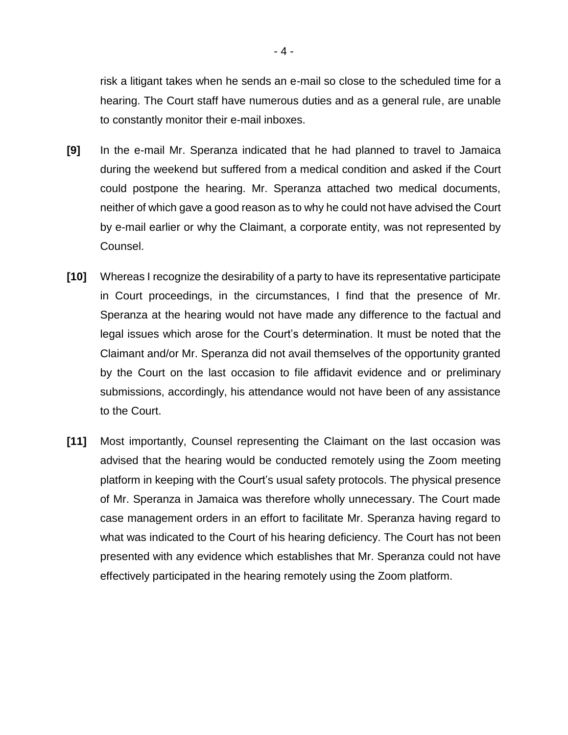risk a litigant takes when he sends an e-mail so close to the scheduled time for a hearing. The Court staff have numerous duties and as a general rule, are unable to constantly monitor their e-mail inboxes.

- **[9]** In the e-mail Mr. Speranza indicated that he had planned to travel to Jamaica during the weekend but suffered from a medical condition and asked if the Court could postpone the hearing. Mr. Speranza attached two medical documents, neither of which gave a good reason as to why he could not have advised the Court by e-mail earlier or why the Claimant, a corporate entity, was not represented by Counsel.
- **[10]** Whereas I recognize the desirability of a party to have its representative participate in Court proceedings, in the circumstances, I find that the presence of Mr. Speranza at the hearing would not have made any difference to the factual and legal issues which arose for the Court's determination. It must be noted that the Claimant and/or Mr. Speranza did not avail themselves of the opportunity granted by the Court on the last occasion to file affidavit evidence and or preliminary submissions, accordingly, his attendance would not have been of any assistance to the Court.
- **[11]** Most importantly, Counsel representing the Claimant on the last occasion was advised that the hearing would be conducted remotely using the Zoom meeting platform in keeping with the Court's usual safety protocols. The physical presence of Mr. Speranza in Jamaica was therefore wholly unnecessary. The Court made case management orders in an effort to facilitate Mr. Speranza having regard to what was indicated to the Court of his hearing deficiency. The Court has not been presented with any evidence which establishes that Mr. Speranza could not have effectively participated in the hearing remotely using the Zoom platform.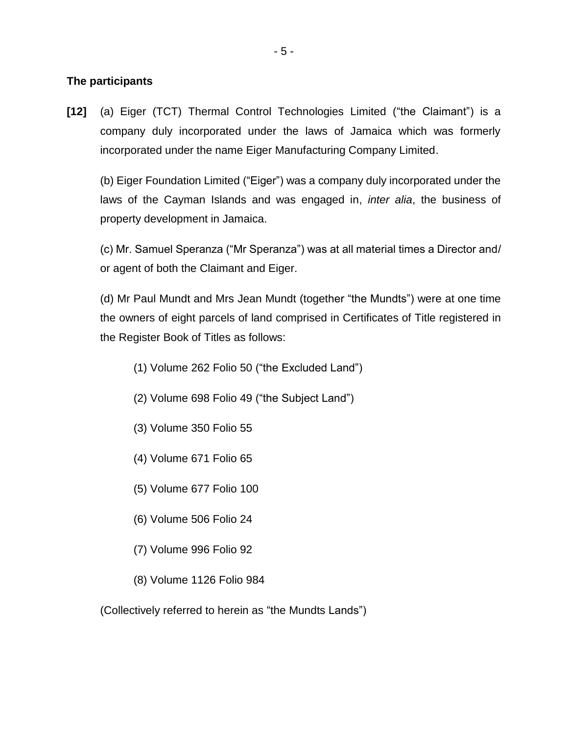### **The participants**

**[12]** (a) Eiger (TCT) Thermal Control Technologies Limited ("the Claimant") is a company duly incorporated under the laws of Jamaica which was formerly incorporated under the name Eiger Manufacturing Company Limited.

(b) Eiger Foundation Limited ("Eiger") was a company duly incorporated under the laws of the Cayman Islands and was engaged in, *inter alia*, the business of property development in Jamaica.

(c) Mr. Samuel Speranza ("Mr Speranza") was at all material times a Director and/ or agent of both the Claimant and Eiger.

(d) Mr Paul Mundt and Mrs Jean Mundt (together "the Mundts") were at one time the owners of eight parcels of land comprised in Certificates of Title registered in the Register Book of Titles as follows:

- (1) Volume 262 Folio 50 ("the Excluded Land")
- (2) Volume 698 Folio 49 ("the Subject Land")
- (3) Volume 350 Folio 55
- (4) Volume 671 Folio 65
- (5) Volume 677 Folio 100
- (6) Volume 506 Folio 24
- (7) Volume 996 Folio 92
- (8) Volume 1126 Folio 984

(Collectively referred to herein as "the Mundts Lands")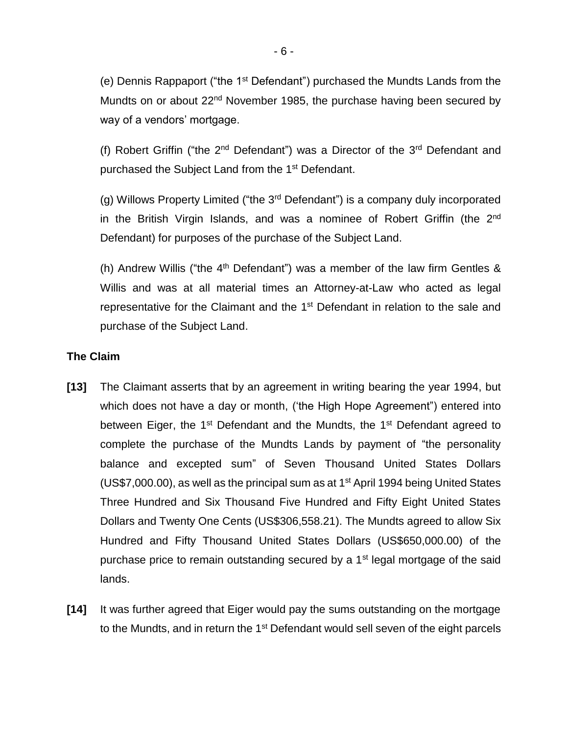(e) Dennis Rappaport ("the 1<sup>st</sup> Defendant") purchased the Mundts Lands from the Mundts on or about 22<sup>nd</sup> November 1985, the purchase having been secured by way of a vendors' mortgage.

(f) Robert Griffin ("the  $2<sup>nd</sup>$  Defendant") was a Director of the  $3<sup>rd</sup>$  Defendant and purchased the Subject Land from the 1<sup>st</sup> Defendant.

(g) Willows Property Limited ("the  $3<sup>rd</sup>$  Defendant") is a company duly incorporated in the British Virgin Islands, and was a nominee of Robert Griffin (the 2<sup>nd</sup> Defendant) for purposes of the purchase of the Subject Land.

(h) Andrew Willis ("the  $4<sup>th</sup>$  Defendant") was a member of the law firm Gentles & Willis and was at all material times an Attorney-at-Law who acted as legal representative for the Claimant and the 1<sup>st</sup> Defendant in relation to the sale and purchase of the Subject Land.

### **The Claim**

- **[13]** The Claimant asserts that by an agreement in writing bearing the year 1994, but which does not have a day or month, ('the High Hope Agreement") entered into between Eiger, the 1<sup>st</sup> Defendant and the Mundts, the 1<sup>st</sup> Defendant agreed to complete the purchase of the Mundts Lands by payment of "the personality balance and excepted sum" of Seven Thousand United States Dollars (US\$7,000.00), as well as the principal sum as at  $1<sup>st</sup>$  April 1994 being United States Three Hundred and Six Thousand Five Hundred and Fifty Eight United States Dollars and Twenty One Cents (US\$306,558.21). The Mundts agreed to allow Six Hundred and Fifty Thousand United States Dollars (US\$650,000.00) of the purchase price to remain outstanding secured by a  $1<sup>st</sup>$  legal mortgage of the said lands.
- **[14]** It was further agreed that Eiger would pay the sums outstanding on the mortgage to the Mundts, and in return the 1<sup>st</sup> Defendant would sell seven of the eight parcels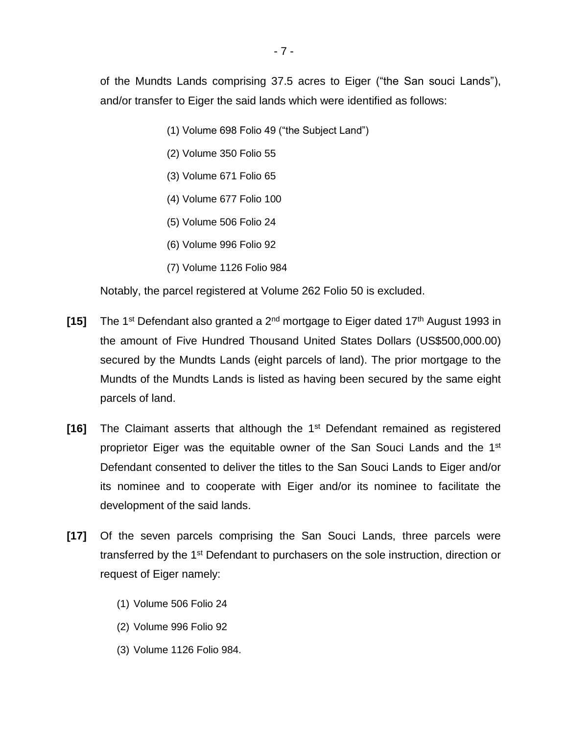of the Mundts Lands comprising 37.5 acres to Eiger ("the San souci Lands"), and/or transfer to Eiger the said lands which were identified as follows:

- (1) Volume 698 Folio 49 ("the Subject Land")
- (2) Volume 350 Folio 55
- (3) Volume 671 Folio 65
- (4) Volume 677 Folio 100
- (5) Volume 506 Folio 24
- (6) Volume 996 Folio 92
- (7) Volume 1126 Folio 984

Notably, the parcel registered at Volume 262 Folio 50 is excluded.

- **[15]** The 1st Defendant also granted a 2nd mortgage to Eiger dated 17th August 1993 in the amount of Five Hundred Thousand United States Dollars (US\$500,000.00) secured by the Mundts Lands (eight parcels of land). The prior mortgage to the Mundts of the Mundts Lands is listed as having been secured by the same eight parcels of land.
- **[16]** The Claimant asserts that although the 1st Defendant remained as registered proprietor Eiger was the equitable owner of the San Souci Lands and the 1st Defendant consented to deliver the titles to the San Souci Lands to Eiger and/or its nominee and to cooperate with Eiger and/or its nominee to facilitate the development of the said lands.
- **[17]** Of the seven parcels comprising the San Souci Lands, three parcels were transferred by the 1<sup>st</sup> Defendant to purchasers on the sole instruction, direction or request of Eiger namely:
	- (1) Volume 506 Folio 24
	- (2) Volume 996 Folio 92
	- (3) Volume 1126 Folio 984.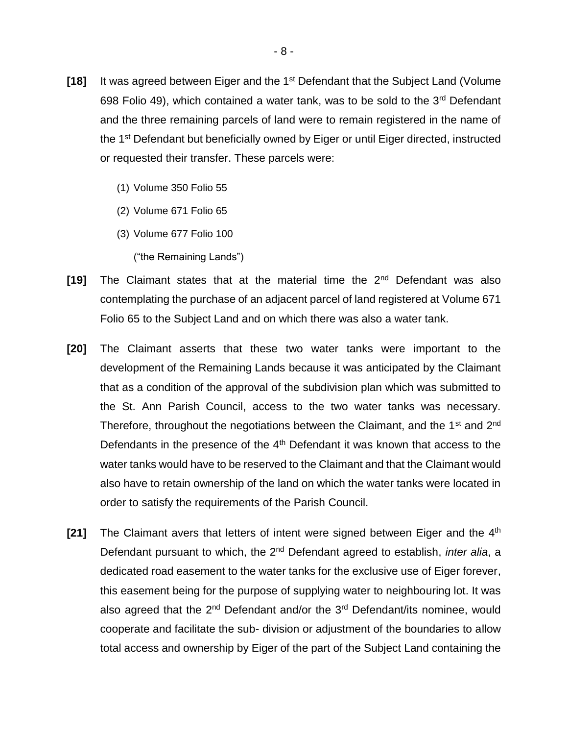- **[18]** It was agreed between Eiger and the 1st Defendant that the Subject Land (Volume 698 Folio 49), which contained a water tank, was to be sold to the 3rd Defendant and the three remaining parcels of land were to remain registered in the name of the 1st Defendant but beneficially owned by Eiger or until Eiger directed, instructed or requested their transfer. These parcels were:
	- (1) Volume 350 Folio 55
	- (2) Volume 671 Folio 65
	- (3) Volume 677 Folio 100
		- ("the Remaining Lands")
- **[19]** The Claimant states that at the material time the 2nd Defendant was also contemplating the purchase of an adjacent parcel of land registered at Volume 671 Folio 65 to the Subject Land and on which there was also a water tank.
- **[20]** The Claimant asserts that these two water tanks were important to the development of the Remaining Lands because it was anticipated by the Claimant that as a condition of the approval of the subdivision plan which was submitted to the St. Ann Parish Council, access to the two water tanks was necessary. Therefore, throughout the negotiations between the Claimant, and the 1<sup>st</sup> and 2<sup>nd</sup> Defendants in the presence of the  $4<sup>th</sup>$  Defendant it was known that access to the water tanks would have to be reserved to the Claimant and that the Claimant would also have to retain ownership of the land on which the water tanks were located in order to satisfy the requirements of the Parish Council.
- **[21]** The Claimant avers that letters of intent were signed between Eiger and the 4<sup>th</sup> Defendant pursuant to which, the 2nd Defendant agreed to establish, *inter alia*, a dedicated road easement to the water tanks for the exclusive use of Eiger forever, this easement being for the purpose of supplying water to neighbouring lot. It was also agreed that the  $2^{nd}$  Defendant and/or the  $3^{rd}$  Defendant/its nominee, would cooperate and facilitate the sub- division or adjustment of the boundaries to allow total access and ownership by Eiger of the part of the Subject Land containing the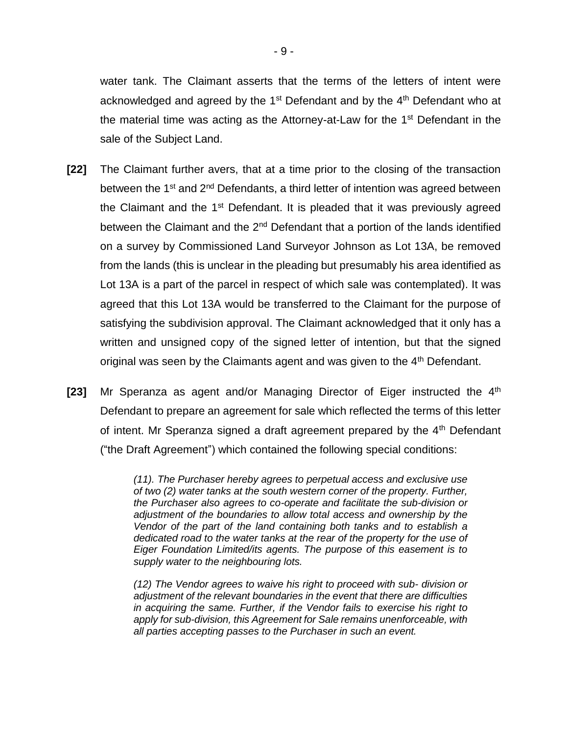water tank. The Claimant asserts that the terms of the letters of intent were acknowledged and agreed by the  $1<sup>st</sup>$  Defendant and by the  $4<sup>th</sup>$  Defendant who at the material time was acting as the Attorney-at-Law for the 1<sup>st</sup> Defendant in the sale of the Subject Land.

- **[22]** The Claimant further avers, that at a time prior to the closing of the transaction between the  $1<sup>st</sup>$  and  $2<sup>nd</sup>$  Defendants, a third letter of intention was agreed between the Claimant and the  $1<sup>st</sup>$  Defendant. It is pleaded that it was previously agreed between the Claimant and the 2<sup>nd</sup> Defendant that a portion of the lands identified on a survey by Commissioned Land Surveyor Johnson as Lot 13A, be removed from the lands (this is unclear in the pleading but presumably his area identified as Lot 13A is a part of the parcel in respect of which sale was contemplated). It was agreed that this Lot 13A would be transferred to the Claimant for the purpose of satisfying the subdivision approval. The Claimant acknowledged that it only has a written and unsigned copy of the signed letter of intention, but that the signed original was seen by the Claimants agent and was given to the 4<sup>th</sup> Defendant.
- [23] Mr Speranza as agent and/or Managing Director of Eiger instructed the 4<sup>th</sup> Defendant to prepare an agreement for sale which reflected the terms of this letter of intent. Mr Speranza signed a draft agreement prepared by the  $4<sup>th</sup>$  Defendant ("the Draft Agreement") which contained the following special conditions:

*(11). The Purchaser hereby agrees to perpetual access and exclusive use of two (2) water tanks at the south western corner of the property. Further, the Purchaser also agrees to co-operate and facilitate the sub-division or adjustment of the boundaries to allow total access and ownership by the Vendor of the part of the land containing both tanks and to establish a dedicated road to the water tanks at the rear of the property for the use of Eiger Foundation Limited/its agents. The purpose of this easement is to supply water to the neighbouring lots.*

*(12) The Vendor agrees to waive his right to proceed with sub- division or adjustment of the relevant boundaries in the event that there are difficulties in acquiring the same. Further, if the Vendor fails to exercise his right to apply for sub-division, this Agreement for Sale remains unenforceable, with all parties accepting passes to the Purchaser in such an event.*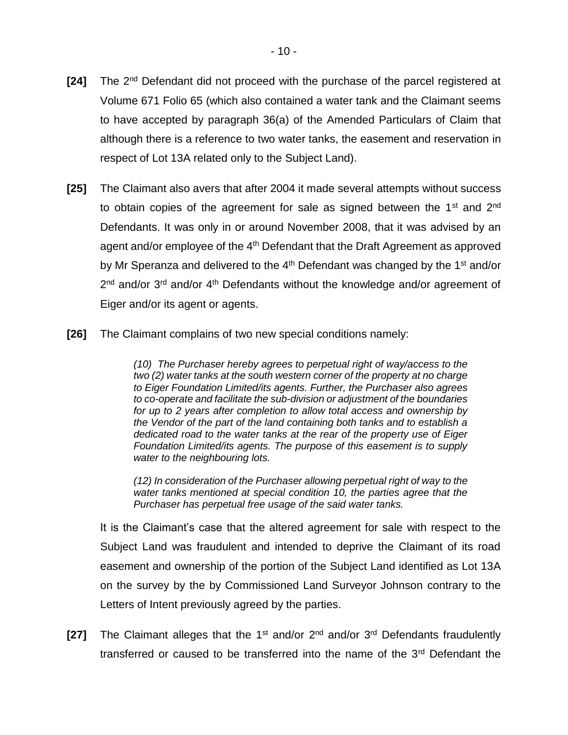- **[24]** The 2nd Defendant did not proceed with the purchase of the parcel registered at Volume 671 Folio 65 (which also contained a water tank and the Claimant seems to have accepted by paragraph 36(a) of the Amended Particulars of Claim that although there is a reference to two water tanks, the easement and reservation in respect of Lot 13A related only to the Subject Land).
- **[25]** The Claimant also avers that after 2004 it made several attempts without success to obtain copies of the agreement for sale as signed between the  $1<sup>st</sup>$  and  $2<sup>nd</sup>$ Defendants. It was only in or around November 2008, that it was advised by an agent and/or employee of the 4<sup>th</sup> Defendant that the Draft Agreement as approved by Mr Speranza and delivered to the  $4<sup>th</sup>$  Defendant was changed by the 1<sup>st</sup> and/or 2<sup>nd</sup> and/or 3<sup>rd</sup> and/or 4<sup>th</sup> Defendants without the knowledge and/or agreement of Eiger and/or its agent or agents.
- **[26]** The Claimant complains of two new special conditions namely:

*(10) The Purchaser hereby agrees to perpetual right of way/access to the two (2) water tanks at the south western corner of the property at no charge to Eiger Foundation Limited/its agents. Further, the Purchaser also agrees to co-operate and facilitate the sub-division or adjustment of the boundaries for up to 2 years after completion to allow total access and ownership by the Vendor of the part of the land containing both tanks and to establish a dedicated road to the water tanks at the rear of the property use of Eiger Foundation Limited/its agents. The purpose of this easement is to supply water to the neighbouring lots.*

*(12) In consideration of the Purchaser allowing perpetual right of way to the water tanks mentioned at special condition 10, the parties agree that the Purchaser has perpetual free usage of the said water tanks.*

It is the Claimant's case that the altered agreement for sale with respect to the Subject Land was fraudulent and intended to deprive the Claimant of its road easement and ownership of the portion of the Subject Land identified as Lot 13A on the survey by the by Commissioned Land Surveyor Johnson contrary to the Letters of Intent previously agreed by the parties.

[27] The Claimant alleges that the 1<sup>st</sup> and/or 2<sup>nd</sup> and/or 3<sup>rd</sup> Defendants fraudulently transferred or caused to be transferred into the name of the 3<sup>rd</sup> Defendant the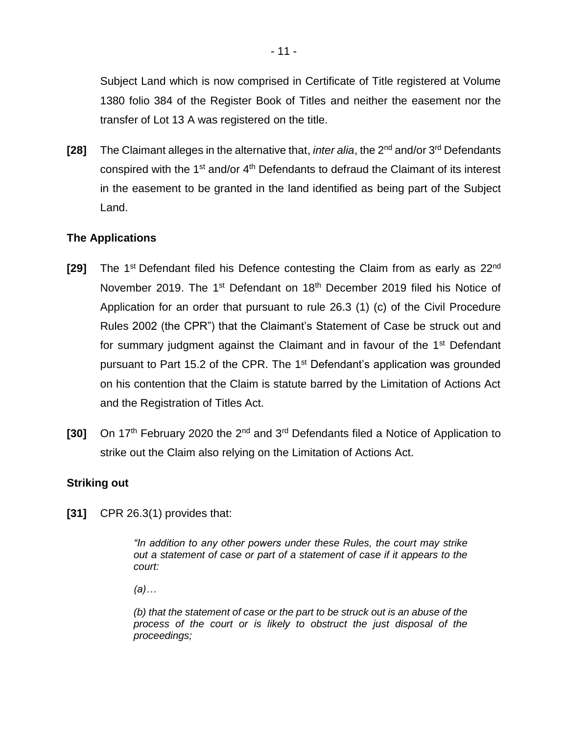Subject Land which is now comprised in Certificate of Title registered at Volume 1380 folio 384 of the Register Book of Titles and neither the easement nor the transfer of Lot 13 A was registered on the title.

**[28]** The Claimant alleges in the alternative that, *inter alia*, the 2nd and/or 3 rd Defendants conspired with the  $1<sup>st</sup>$  and/or  $4<sup>th</sup>$  Defendants to defraud the Claimant of its interest in the easement to be granted in the land identified as being part of the Subject Land.

### **The Applications**

- **[29]** The 1st Defendant filed his Defence contesting the Claim from as early as 22nd November 2019. The 1<sup>st</sup> Defendant on 18<sup>th</sup> December 2019 filed his Notice of Application for an order that pursuant to rule 26.3 (1) (c) of the Civil Procedure Rules 2002 (the CPR") that the Claimant's Statement of Case be struck out and for summary judgment against the Claimant and in favour of the 1<sup>st</sup> Defendant pursuant to Part 15.2 of the CPR. The 1<sup>st</sup> Defendant's application was grounded on his contention that the Claim is statute barred by the Limitation of Actions Act and the Registration of Titles Act.
- **[30]** On 17<sup>th</sup> February 2020 the 2<sup>nd</sup> and 3<sup>rd</sup> Defendants filed a Notice of Application to strike out the Claim also relying on the Limitation of Actions Act.

#### **Striking out**

**[31]** CPR 26.3(1) provides that:

*"In addition to any other powers under these Rules, the court may strike out a statement of case or part of a statement of case if it appears to the court:*

*(a)…*

*(b) that the statement of case or the part to be struck out is an abuse of the process of the court or is likely to obstruct the just disposal of the proceedings;*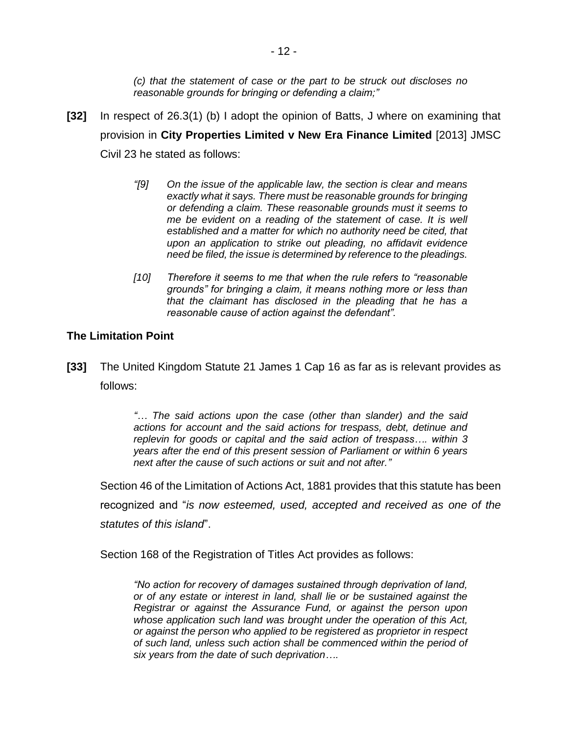*(c) that the statement of case or the part to be struck out discloses no reasonable grounds for bringing or defending a claim;"*

- **[32]** In respect of 26.3(1) (b) I adopt the opinion of Batts, J where on examining that provision in **City Properties Limited v New Era Finance Limited** [2013] JMSC Civil 23 he stated as follows:
	- *"[9] On the issue of the applicable law, the section is clear and means exactly what it says. There must be reasonable grounds for bringing or defending a claim. These reasonable grounds must it seems to me be evident on a reading of the statement of case. It is well established and a matter for which no authority need be cited, that upon an application to strike out pleading, no affidavit evidence need be filed, the issue is determined by reference to the pleadings.*
	- *[10] Therefore it seems to me that when the rule refers to "reasonable grounds" for bringing a claim, it means nothing more or less than that the claimant has disclosed in the pleading that he has a reasonable cause of action against the defendant".*

#### **The Limitation Point**

**[33]** The United Kingdom Statute 21 James 1 Cap 16 as far as is relevant provides as follows:

> *"… The said actions upon the case (other than slander) and the said actions for account and the said actions for trespass, debt, detinue and replevin for goods or capital and the said action of trespass…. within 3 years after the end of this present session of Parliament or within 6 years next after the cause of such actions or suit and not after."*

Section 46 of the Limitation of Actions Act, 1881 provides that this statute has been recognized and "*is now esteemed, used, accepted and received as one of the statutes of this island*".

Section 168 of the Registration of Titles Act provides as follows:

*"No action for recovery of damages sustained through deprivation of land, or of any estate or interest in land, shall lie or be sustained against the Registrar or against the Assurance Fund, or against the person upon whose application such land was brought under the operation of this Act, or against the person who applied to be registered as proprietor in respect of such land, unless such action shall be commenced within the period of six years from the date of such deprivation….*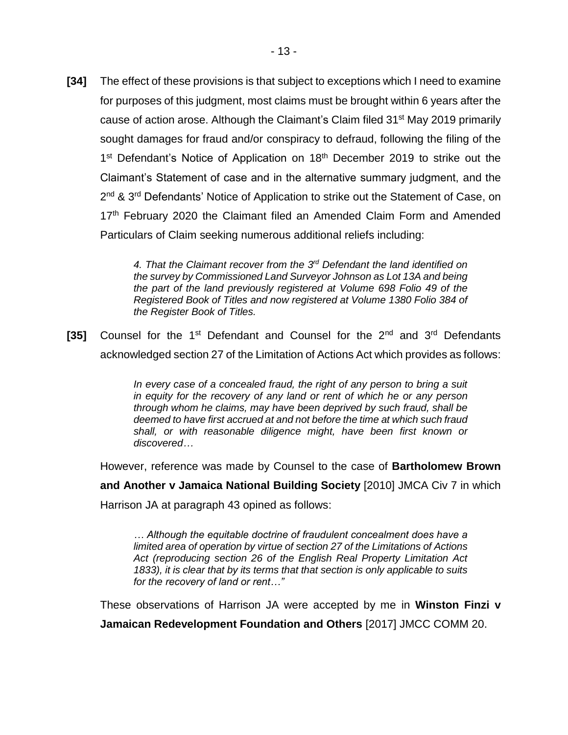**[34]** The effect of these provisions is that subject to exceptions which I need to examine for purposes of this judgment, most claims must be brought within 6 years after the cause of action arose. Although the Claimant's Claim filed 31<sup>st</sup> May 2019 primarily sought damages for fraud and/or conspiracy to defraud, following the filing of the 1<sup>st</sup> Defendant's Notice of Application on 18<sup>th</sup> December 2019 to strike out the Claimant's Statement of case and in the alternative summary judgment, and the 2<sup>nd</sup> & 3<sup>rd</sup> Defendants' Notice of Application to strike out the Statement of Case, on 17<sup>th</sup> February 2020 the Claimant filed an Amended Claim Form and Amended Particulars of Claim seeking numerous additional reliefs including:

> 4. That the Claimant recover from the 3<sup>rd</sup> Defendant the land identified on *the survey by Commissioned Land Surveyor Johnson as Lot 13A and being the part of the land previously registered at Volume 698 Folio 49 of the Registered Book of Titles and now registered at Volume 1380 Folio 384 of the Register Book of Titles.*

[35] Counsel for the 1<sup>st</sup> Defendant and Counsel for the 2<sup>nd</sup> and 3<sup>rd</sup> Defendants acknowledged section 27 of the Limitation of Actions Act which provides as follows:

> *In every case of a concealed fraud, the right of any person to bring a suit in equity for the recovery of any land or rent of which he or any person through whom he claims, may have been deprived by such fraud, shall be deemed to have first accrued at and not before the time at which such fraud shall, or with reasonable diligence might, have been first known or discovered…*

However, reference was made by Counsel to the case of **Bartholomew Brown** 

**and Another v Jamaica National Building Society** [2010] JMCA Civ 7 in which

Harrison JA at paragraph 43 opined as follows:

*… Although the equitable doctrine of fraudulent concealment does have a limited area of operation by virtue of section 27 of the Limitations of Actions Act (reproducing section 26 of the English Real Property Limitation Act 1833), it is clear that by its terms that that section is only applicable to suits for the recovery of land or rent…"*

These observations of Harrison JA were accepted by me in **Winston Finzi v Jamaican Redevelopment Foundation and Others** [2017] JMCC COMM 20.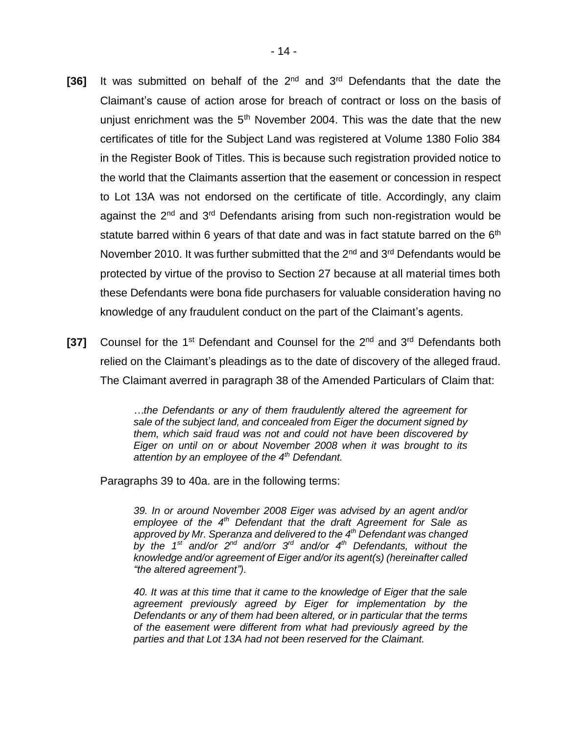- [36] It was submitted on behalf of the 2<sup>nd</sup> and 3<sup>rd</sup> Defendants that the date the Claimant's cause of action arose for breach of contract or loss on the basis of unjust enrichment was the  $5<sup>th</sup>$  November 2004. This was the date that the new certificates of title for the Subject Land was registered at Volume 1380 Folio 384 in the Register Book of Titles. This is because such registration provided notice to the world that the Claimants assertion that the easement or concession in respect to Lot 13A was not endorsed on the certificate of title. Accordingly, any claim against the  $2<sup>nd</sup>$  and  $3<sup>rd</sup>$  Defendants arising from such non-registration would be statute barred within 6 years of that date and was in fact statute barred on the  $6<sup>th</sup>$ November 2010. It was further submitted that the  $2<sup>nd</sup>$  and  $3<sup>rd</sup>$  Defendants would be protected by virtue of the proviso to Section 27 because at all material times both these Defendants were bona fide purchasers for valuable consideration having no knowledge of any fraudulent conduct on the part of the Claimant's agents.
- [37] Counsel for the 1<sup>st</sup> Defendant and Counsel for the 2<sup>nd</sup> and 3<sup>rd</sup> Defendants both relied on the Claimant's pleadings as to the date of discovery of the alleged fraud. The Claimant averred in paragraph 38 of the Amended Particulars of Claim that:

*…the Defendants or any of them fraudulently altered the agreement for sale of the subject land, and concealed from Eiger the document signed by them, which said fraud was not and could not have been discovered by Eiger on until on or about November 2008 when it was brought to its attention by an employee of the 4th Defendant.*

Paragraphs 39 to 40a. are in the following terms:

*39. In or around November 2008 Eiger was advised by an agent and/or employee of the 4th Defendant that the draft Agreement for Sale as approved by Mr. Speranza and delivered to the 4th Defendant was changed by the 1st and/or 2nd and/orr 3rd and/or 4 th Defendants, without the knowledge and/or agreement of Eiger and/or its agent(s) (hereinafter called "the altered agreement").*

*40. It was at this time that it came to the knowledge of Eiger that the sale agreement previously agreed by Eiger for implementation by the Defendants or any of them had been altered, or in particular that the terms of the easement were different from what had previously agreed by the parties and that Lot 13A had not been reserved for the Claimant.*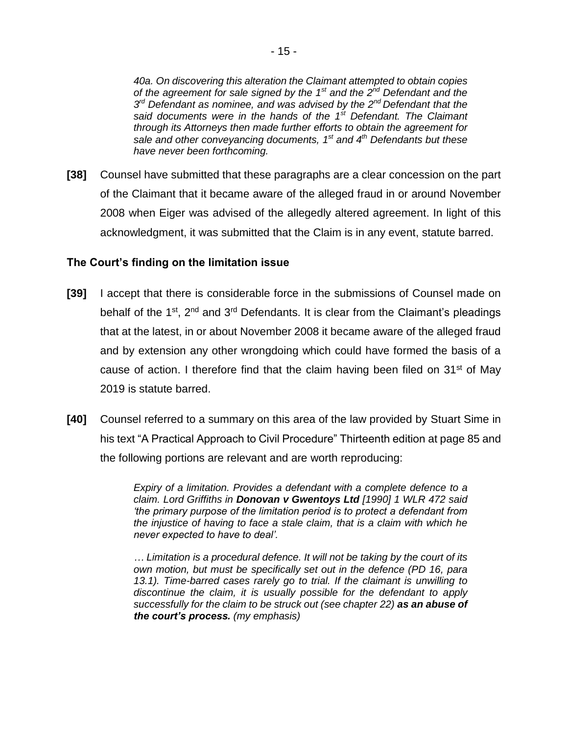*40a. On discovering this alteration the Claimant attempted to obtain copies of the agreement for sale signed by the 1st and the 2nd Defendant and the*   $3<sup>rd</sup>$  *Defendant as nominee, and was advised by the 2<sup>nd</sup> Defendant that the said documents were in the hands of the 1st Defendant. The Claimant through its Attorneys then made further efforts to obtain the agreement for sale and other conveyancing documents, 1 st and 4th Defendants but these have never been forthcoming.*

**[38]** Counsel have submitted that these paragraphs are a clear concession on the part of the Claimant that it became aware of the alleged fraud in or around November 2008 when Eiger was advised of the allegedly altered agreement. In light of this acknowledgment, it was submitted that the Claim is in any event, statute barred.

#### **The Court's finding on the limitation issue**

- **[39]** I accept that there is considerable force in the submissions of Counsel made on behalf of the 1st, 2nd and 3rd Defendants. It is clear from the Claimant's pleadings that at the latest, in or about November 2008 it became aware of the alleged fraud and by extension any other wrongdoing which could have formed the basis of a cause of action. I therefore find that the claim having been filed on  $31<sup>st</sup>$  of May 2019 is statute barred.
- **[40]** Counsel referred to a summary on this area of the law provided by Stuart Sime in his text "A Practical Approach to Civil Procedure" Thirteenth edition at page 85 and the following portions are relevant and are worth reproducing:

*Expiry of a limitation. Provides a defendant with a complete defence to a claim. Lord Griffiths in Donovan v Gwentoys Ltd [1990] 1 WLR 472 said 'the primary purpose of the limitation period is to protect a defendant from the injustice of having to face a stale claim, that is a claim with which he never expected to have to deal'.*

*… Limitation is a procedural defence. It will not be taking by the court of its own motion, but must be specifically set out in the defence (PD 16, para 13.1). Time-barred cases rarely go to trial. If the claimant is unwilling to discontinue the claim, it is usually possible for the defendant to apply successfully for the claim to be struck out (see chapter 22) as an abuse of the court's process. (my emphasis)*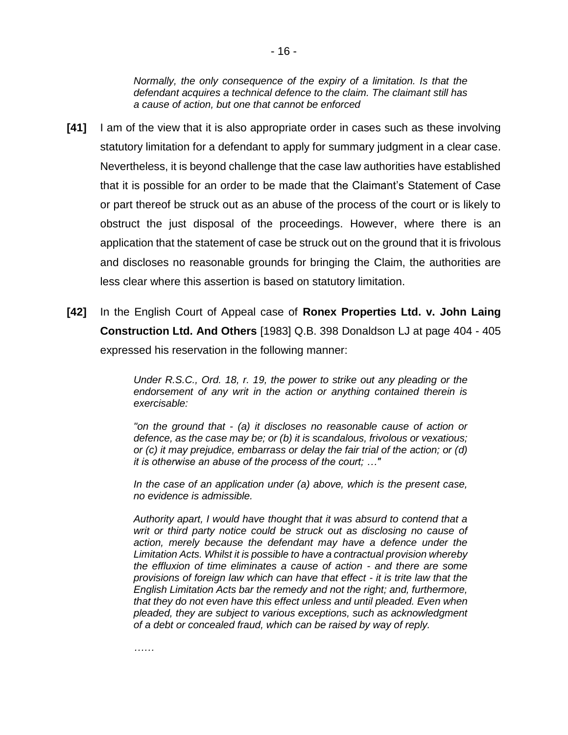*Normally, the only consequence of the expiry of a limitation. Is that the defendant acquires a technical defence to the claim. The claimant still has a cause of action, but one that cannot be enforced*

- **[41]** I am of the view that it is also appropriate order in cases such as these involving statutory limitation for a defendant to apply for summary judgment in a clear case. Nevertheless, it is beyond challenge that the case law authorities have established that it is possible for an order to be made that the Claimant's Statement of Case or part thereof be struck out as an abuse of the process of the court or is likely to obstruct the just disposal of the proceedings. However, where there is an application that the statement of case be struck out on the ground that it is frivolous and discloses no reasonable grounds for bringing the Claim, the authorities are less clear where this assertion is based on statutory limitation.
- **[42]** In the English Court of Appeal case of **Ronex Properties Ltd. v. John Laing Construction Ltd. And Others** [1983] Q.B. 398 Donaldson LJ at page 404 - 405 expressed his reservation in the following manner:

*Under R.S.C., Ord. 18, r. 19, the power to strike out any pleading or the endorsement of any writ in the action or anything contained therein is exercisable:*

*"on the ground that - (a) it discloses no reasonable cause of action or defence, as the case may be; or (b) it is scandalous, frivolous or vexatious; or (c) it may prejudice, embarrass or delay the fair trial of the action; or (d) it is otherwise an abuse of the process of the court; …"*

*In the case of an application under (a) above, which is the present case, no evidence is admissible.*

*Authority apart, I would have thought that it was absurd to contend that a writ or third party notice could be struck out as disclosing no cause of action, merely because the defendant may have a defence under the Limitation Acts. Whilst it is possible to have a contractual provision whereby the effluxion of time eliminates a cause of action - and there are some provisions of foreign law which can have that effect - it is trite law that the English Limitation Acts bar the remedy and not the right; and, furthermore, that they do not even have this effect unless and until pleaded. Even when pleaded, they are subject to various exceptions, such as acknowledgment of a debt or concealed fraud, which can be raised by way of reply.*

*……*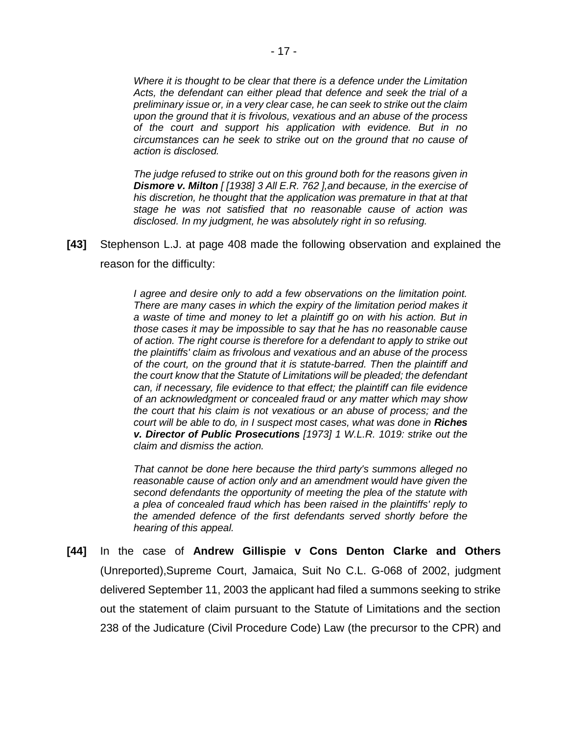*Where it is thought to be clear that there is a defence under the Limitation Acts, the defendant can either plead that defence and seek the trial of a preliminary issue or, in a very clear case, he can seek to strike out the claim upon the ground that it is frivolous, vexatious and an abuse of the process of the court and support his application with evidence. But in no circumstances can he seek to strike out on the ground that no cause of action is disclosed.*

*The judge refused to strike out on this ground both for the reasons given in Dismore v. Milton [ [1938] 3 All E.R. 762 ],and because, in the exercise of his discretion, he thought that the application was premature in that at that stage he was not satisfied that no reasonable cause of action was disclosed. In my judgment, he was absolutely right in so refusing.*

**[43]** Stephenson L.J. at page 408 made the following observation and explained the reason for the difficulty:

> *I agree and desire only to add a few observations on the limitation point. There are many cases in which the expiry of the limitation period makes it a waste of time and money to let a plaintiff go on with his action. But in those cases it may be impossible to say that he has no reasonable cause of action. The right course is therefore for a defendant to apply to strike out the plaintiffs' claim as frivolous and vexatious and an abuse of the process of the court, on the ground that it is statute-barred. Then the plaintiff and the court know that the Statute of Limitations will be pleaded; the defendant can, if necessary, file evidence to that effect; the plaintiff can file evidence of an acknowledgment or concealed fraud or any matter which may show the court that his claim is not vexatious or an abuse of process; and the court will be able to do, in I suspect most cases, what was done in Riches v. Director of Public Prosecutions [1973] 1 W.L.R. 1019: strike out the claim and dismiss the action.*

> *That cannot be done here because the third party's summons alleged no reasonable cause of action only and an amendment would have given the second defendants the opportunity of meeting the plea of the statute with a plea of concealed fraud which has been raised in the plaintiffs' reply to the amended defence of the first defendants served shortly before the hearing of this appeal.*

**[44]** In the case of **Andrew Gillispie v Cons Denton Clarke and Others** (Unreported),Supreme Court, Jamaica, Suit No C.L. G-068 of 2002, judgment delivered September 11, 2003 the applicant had filed a summons seeking to strike out the statement of claim pursuant to the Statute of Limitations and the section 238 of the Judicature (Civil Procedure Code) Law (the precursor to the CPR) and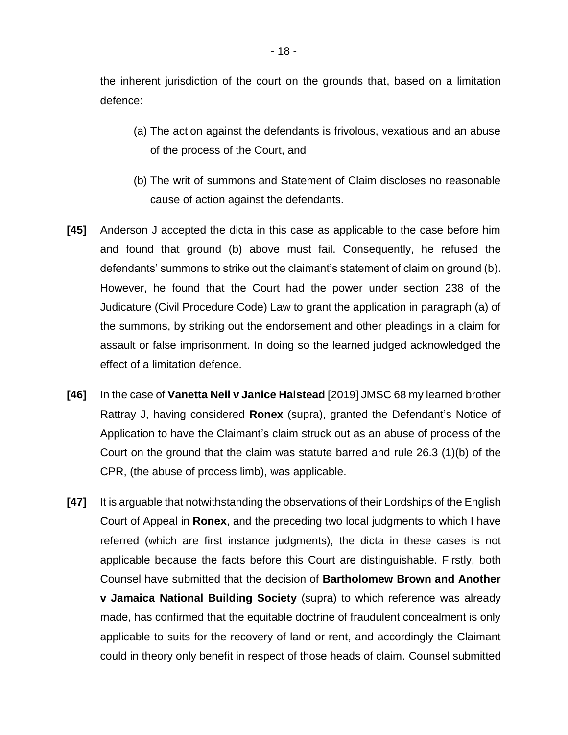the inherent jurisdiction of the court on the grounds that, based on a limitation defence:

- (a) The action against the defendants is frivolous, vexatious and an abuse of the process of the Court, and
- (b) The writ of summons and Statement of Claim discloses no reasonable cause of action against the defendants.
- **[45]** Anderson J accepted the dicta in this case as applicable to the case before him and found that ground (b) above must fail. Consequently, he refused the defendants' summons to strike out the claimant's statement of claim on ground (b). However, he found that the Court had the power under section 238 of the Judicature (Civil Procedure Code) Law to grant the application in paragraph (a) of the summons, by striking out the endorsement and other pleadings in a claim for assault or false imprisonment. In doing so the learned judged acknowledged the effect of a limitation defence.
- **[46]** In the case of **Vanetta Neil v Janice Halstead** [2019] JMSC 68 my learned brother Rattray J, having considered **Ronex** (supra), granted the Defendant's Notice of Application to have the Claimant's claim struck out as an abuse of process of the Court on the ground that the claim was statute barred and rule 26.3 (1)(b) of the CPR, (the abuse of process limb), was applicable.
- **[47]** It is arguable that notwithstanding the observations of their Lordships of the English Court of Appeal in **Ronex**, and the preceding two local judgments to which I have referred (which are first instance judgments), the dicta in these cases is not applicable because the facts before this Court are distinguishable. Firstly, both Counsel have submitted that the decision of **Bartholomew Brown and Another v Jamaica National Building Society** (supra) to which reference was already made, has confirmed that the equitable doctrine of fraudulent concealment is only applicable to suits for the recovery of land or rent, and accordingly the Claimant could in theory only benefit in respect of those heads of claim. Counsel submitted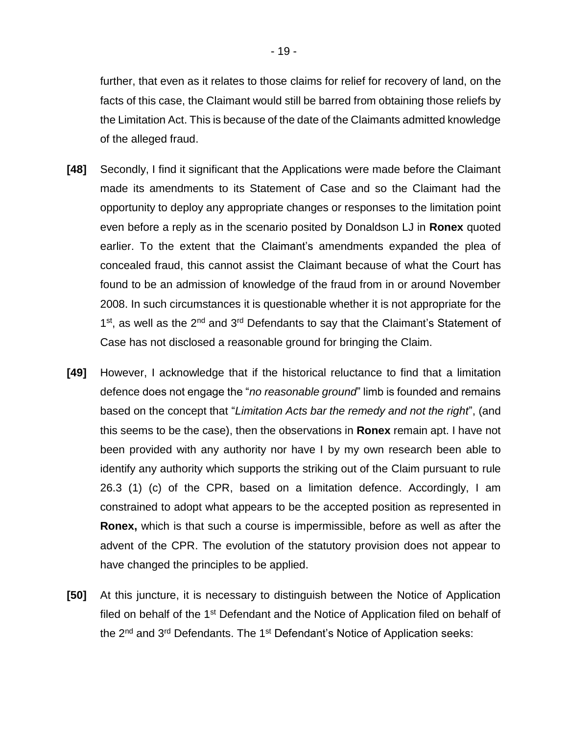further, that even as it relates to those claims for relief for recovery of land, on the facts of this case, the Claimant would still be barred from obtaining those reliefs by the Limitation Act. This is because of the date of the Claimants admitted knowledge of the alleged fraud.

- **[48]** Secondly, I find it significant that the Applications were made before the Claimant made its amendments to its Statement of Case and so the Claimant had the opportunity to deploy any appropriate changes or responses to the limitation point even before a reply as in the scenario posited by Donaldson LJ in **Ronex** quoted earlier. To the extent that the Claimant's amendments expanded the plea of concealed fraud, this cannot assist the Claimant because of what the Court has found to be an admission of knowledge of the fraud from in or around November 2008. In such circumstances it is questionable whether it is not appropriate for the 1<sup>st</sup>, as well as the 2<sup>nd</sup> and 3<sup>rd</sup> Defendants to say that the Claimant's Statement of Case has not disclosed a reasonable ground for bringing the Claim.
- **[49]** However, I acknowledge that if the historical reluctance to find that a limitation defence does not engage the "*no reasonable ground*" limb is founded and remains based on the concept that "*Limitation Acts bar the remedy and not the right*", (and this seems to be the case), then the observations in **Ronex** remain apt. I have not been provided with any authority nor have I by my own research been able to identify any authority which supports the striking out of the Claim pursuant to rule 26.3 (1) (c) of the CPR, based on a limitation defence. Accordingly, I am constrained to adopt what appears to be the accepted position as represented in **Ronex,** which is that such a course is impermissible, before as well as after the advent of the CPR. The evolution of the statutory provision does not appear to have changed the principles to be applied.
- **[50]** At this juncture, it is necessary to distinguish between the Notice of Application filed on behalf of the 1st Defendant and the Notice of Application filed on behalf of the  $2^{nd}$  and  $3^{rd}$  Defendants. The 1<sup>st</sup> Defendant's Notice of Application seeks: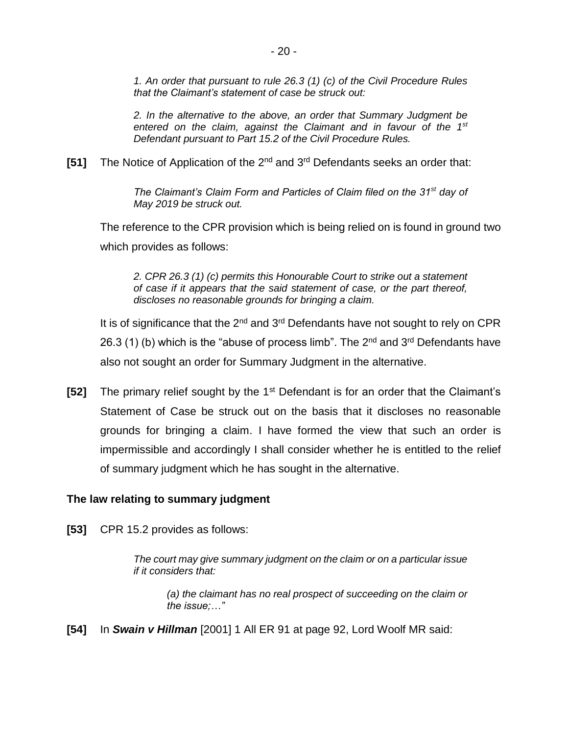*1. An order that pursuant to rule 26.3 (1) (c) of the Civil Procedure Rules that the Claimant's statement of case be struck out:*

*2. In the alternative to the above, an order that Summary Judgment be entered on the claim, against the Claimant and in favour of the 1st Defendant pursuant to Part 15.2 of the Civil Procedure Rules.*

**[51]** The Notice of Application of the 2nd and 3rd Defendants seeks an order that:

*The Claimant's Claim Form and Particles of Claim filed on the 31st day of May 2019 be struck out.*

The reference to the CPR provision which is being relied on is found in ground two which provides as follows:

*2. CPR 26.3 (1) (c) permits this Honourable Court to strike out a statement of case if it appears that the said statement of case, or the part thereof, discloses no reasonable grounds for bringing a claim.*

It is of significance that the  $2^{nd}$  and  $3^{rd}$  Defendants have not sought to rely on CPR 26.3 (1) (b) which is the "abuse of process limb". The  $2<sup>nd</sup>$  and  $3<sup>rd</sup>$  Defendants have also not sought an order for Summary Judgment in the alternative.

**[52]** The primary relief sought by the 1<sup>st</sup> Defendant is for an order that the Claimant's Statement of Case be struck out on the basis that it discloses no reasonable grounds for bringing a claim. I have formed the view that such an order is impermissible and accordingly I shall consider whether he is entitled to the relief of summary judgment which he has sought in the alternative.

#### **The law relating to summary judgment**

**[53]** CPR 15.2 provides as follows:

*The court may give summary judgment on the claim or on a particular issue if it considers that:*

*(a) the claimant has no real prospect of succeeding on the claim or the issue;…"*

**[54]** In *Swain v Hillman* [2001] 1 All ER 91 at page 92, Lord Woolf MR said: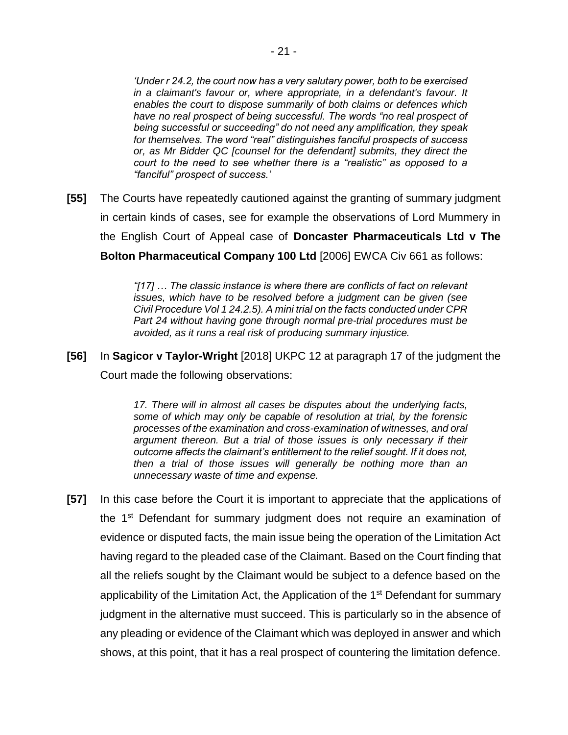*'Under r 24.2, the court now has a very salutary power, both to be exercised in a claimant's favour or, where appropriate, in a defendant's favour. It enables the court to dispose summarily of both claims or defences which have no real prospect of being successful. The words "no real prospect of being successful or succeeding" do not need any amplification, they speak for themselves. The word "real" distinguishes fanciful prospects of success or, as Mr Bidder QC [counsel for the defendant] submits, they direct the court to the need to see whether there is a "realistic" as opposed to a "fanciful" prospect of success.'*

**[55]** The Courts have repeatedly cautioned against the granting of summary judgment in certain kinds of cases, see for example the observations of Lord Mummery in the English Court of Appeal case of **Doncaster Pharmaceuticals Ltd v The Bolton Pharmaceutical Company 100 Ltd** [2006] EWCA Civ 661 as follows:

> *"[17] … The classic instance is where there are conflicts of fact on relevant issues, which have to be resolved before a judgment can be given (see Civil Procedure Vol 1 24.2.5). A mini trial on the facts conducted under CPR Part 24 without having gone through normal pre-trial procedures must be avoided, as it runs a real risk of producing summary injustice.*

**[56]** In **Sagicor v Taylor-Wright** [2018] UKPC 12 at paragraph 17 of the judgment the Court made the following observations:

> *17. There will in almost all cases be disputes about the underlying facts, some of which may only be capable of resolution at trial, by the forensic processes of the examination and cross-examination of witnesses, and oral argument thereon. But a trial of those issues is only necessary if their outcome affects the claimant's entitlement to the relief sought. If it does not, then a trial of those issues will generally be nothing more than an unnecessary waste of time and expense.*

**[57]** In this case before the Court it is important to appreciate that the applications of the 1<sup>st</sup> Defendant for summary judgment does not require an examination of evidence or disputed facts, the main issue being the operation of the Limitation Act having regard to the pleaded case of the Claimant. Based on the Court finding that all the reliefs sought by the Claimant would be subject to a defence based on the applicability of the Limitation Act, the Application of the 1<sup>st</sup> Defendant for summary judgment in the alternative must succeed. This is particularly so in the absence of any pleading or evidence of the Claimant which was deployed in answer and which shows, at this point, that it has a real prospect of countering the limitation defence.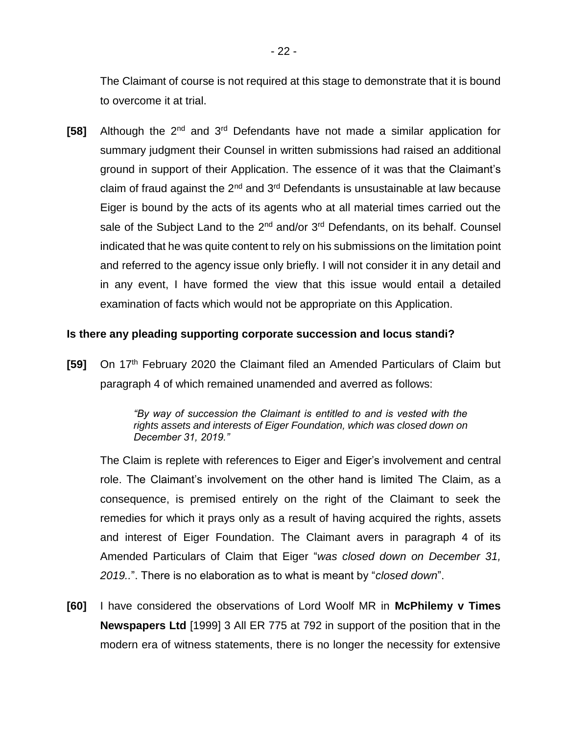The Claimant of course is not required at this stage to demonstrate that it is bound to overcome it at trial.

**[58]** Although the 2nd and 3rd Defendants have not made a similar application for summary judgment their Counsel in written submissions had raised an additional ground in support of their Application. The essence of it was that the Claimant's claim of fraud against the  $2<sup>nd</sup>$  and  $3<sup>rd</sup>$  Defendants is unsustainable at law because Eiger is bound by the acts of its agents who at all material times carried out the sale of the Subject Land to the 2<sup>nd</sup> and/or 3<sup>rd</sup> Defendants, on its behalf. Counsel indicated that he was quite content to rely on his submissions on the limitation point and referred to the agency issue only briefly. I will not consider it in any detail and in any event, I have formed the view that this issue would entail a detailed examination of facts which would not be appropriate on this Application.

#### **Is there any pleading supporting corporate succession and locus standi?**

**[59]** On 17<sup>th</sup> February 2020 the Claimant filed an Amended Particulars of Claim but paragraph 4 of which remained unamended and averred as follows:

> *"By way of succession the Claimant is entitled to and is vested with the rights assets and interests of Eiger Foundation, which was closed down on December 31, 2019."*

The Claim is replete with references to Eiger and Eiger's involvement and central role. The Claimant's involvement on the other hand is limited The Claim, as a consequence, is premised entirely on the right of the Claimant to seek the remedies for which it prays only as a result of having acquired the rights, assets and interest of Eiger Foundation. The Claimant avers in paragraph 4 of its Amended Particulars of Claim that Eiger "*was closed down on December 31, 2019..*". There is no elaboration as to what is meant by "*closed down*".

**[60]** I have considered the observations of Lord Woolf MR in **McPhilemy v Times Newspapers Ltd** [1999] 3 All ER 775 at 792 in support of the position that in the modern era of witness statements, there is no longer the necessity for extensive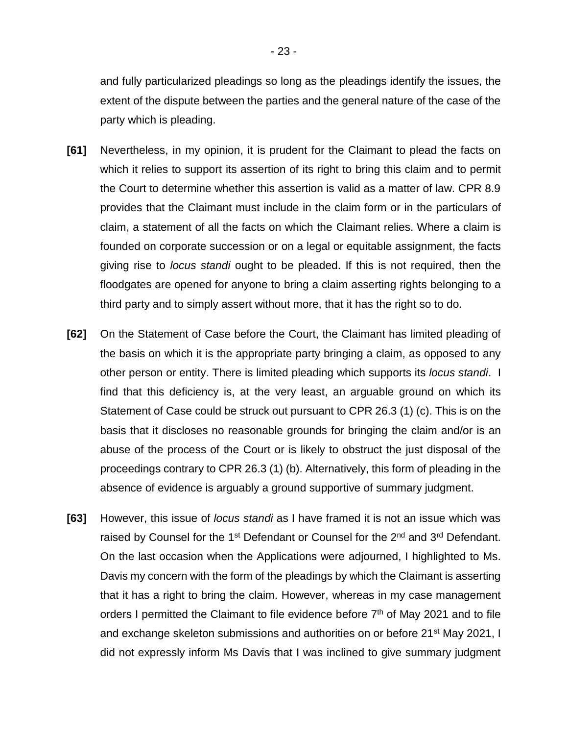and fully particularized pleadings so long as the pleadings identify the issues, the extent of the dispute between the parties and the general nature of the case of the party which is pleading.

- **[61]** Nevertheless, in my opinion, it is prudent for the Claimant to plead the facts on which it relies to support its assertion of its right to bring this claim and to permit the Court to determine whether this assertion is valid as a matter of law. CPR 8.9 provides that the Claimant must include in the claim form or in the particulars of claim, a statement of all the facts on which the Claimant relies. Where a claim is founded on corporate succession or on a legal or equitable assignment, the facts giving rise to *locus standi* ought to be pleaded. If this is not required, then the floodgates are opened for anyone to bring a claim asserting rights belonging to a third party and to simply assert without more, that it has the right so to do.
- **[62]** On the Statement of Case before the Court, the Claimant has limited pleading of the basis on which it is the appropriate party bringing a claim, as opposed to any other person or entity. There is limited pleading which supports its *locus standi*. I find that this deficiency is, at the very least, an arguable ground on which its Statement of Case could be struck out pursuant to CPR 26.3 (1) (c). This is on the basis that it discloses no reasonable grounds for bringing the claim and/or is an abuse of the process of the Court or is likely to obstruct the just disposal of the proceedings contrary to CPR 26.3 (1) (b). Alternatively, this form of pleading in the absence of evidence is arguably a ground supportive of summary judgment.
- **[63]** However, this issue of *locus standi* as I have framed it is not an issue which was raised by Counsel for the 1<sup>st</sup> Defendant or Counsel for the 2<sup>nd</sup> and 3<sup>rd</sup> Defendant. On the last occasion when the Applications were adjourned, I highlighted to Ms. Davis my concern with the form of the pleadings by which the Claimant is asserting that it has a right to bring the claim. However, whereas in my case management orders I permitted the Claimant to file evidence before  $7<sup>th</sup>$  of May 2021 and to file and exchange skeleton submissions and authorities on or before 21<sup>st</sup> May 2021, I did not expressly inform Ms Davis that I was inclined to give summary judgment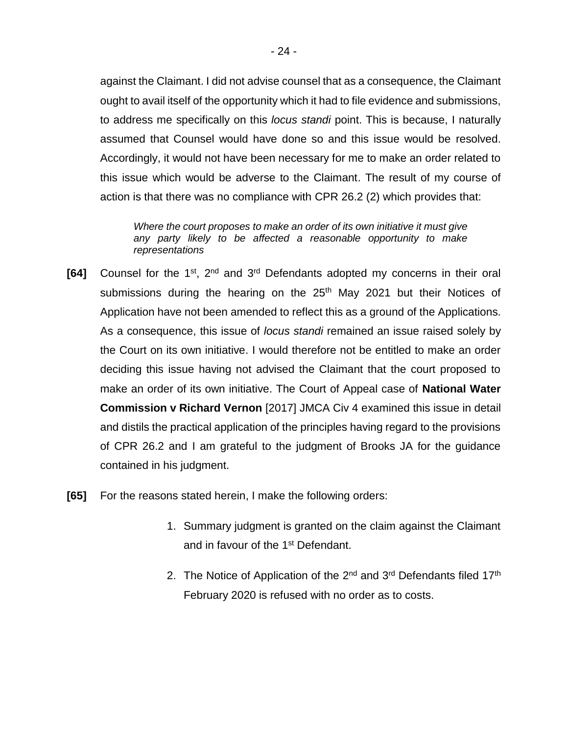against the Claimant. I did not advise counsel that as a consequence, the Claimant ought to avail itself of the opportunity which it had to file evidence and submissions, to address me specifically on this *locus standi* point. This is because, I naturally assumed that Counsel would have done so and this issue would be resolved. Accordingly, it would not have been necessary for me to make an order related to this issue which would be adverse to the Claimant. The result of my course of action is that there was no compliance with CPR 26.2 (2) which provides that:

*Where the court proposes to make an order of its own initiative it must give any party likely to be affected a reasonable opportunity to make representations*

- [64] Counsel for the 1<sup>st</sup>, 2<sup>nd</sup> and 3<sup>rd</sup> Defendants adopted my concerns in their oral submissions during the hearing on the  $25<sup>th</sup>$  May 2021 but their Notices of Application have not been amended to reflect this as a ground of the Applications. As a consequence, this issue of *locus standi* remained an issue raised solely by the Court on its own initiative. I would therefore not be entitled to make an order deciding this issue having not advised the Claimant that the court proposed to make an order of its own initiative. The Court of Appeal case of **National Water Commission v Richard Vernon** [2017] JMCA Civ 4 examined this issue in detail and distils the practical application of the principles having regard to the provisions of CPR 26.2 and I am grateful to the judgment of Brooks JA for the guidance contained in his judgment.
- **[65]** For the reasons stated herein, I make the following orders:
	- 1. Summary judgment is granted on the claim against the Claimant and in favour of the 1<sup>st</sup> Defendant.
	- 2. The Notice of Application of the 2<sup>nd</sup> and 3<sup>rd</sup> Defendants filed 17<sup>th</sup> February 2020 is refused with no order as to costs.